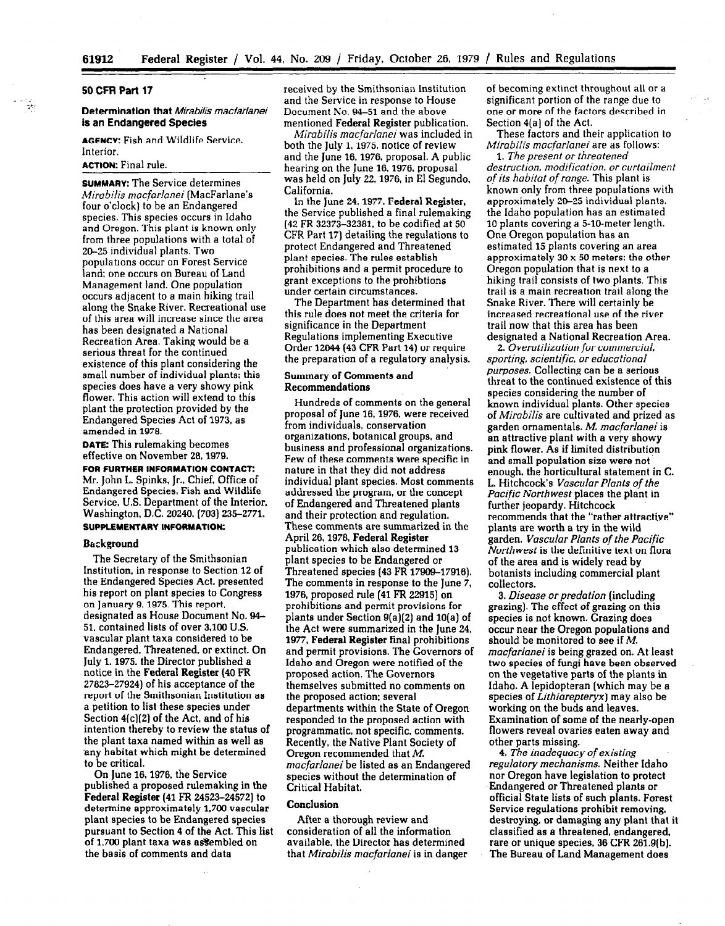#### 50 CFR Part 17

## Determination that Mirabilis macfarianei is an Endangered Species

AGENCY: Fish and Wildlife Service, Interior.

## ACTION: Final rule.

SUMMARY: The Service determines Mirabilis macfarlanei (MacFarlane's four o'clock) to be an Endangered species. This species occurs in Idaho and Oregon. This plant is known only from three populations with a total of 20-25 individual plants. Two populations occur on Forest Service land: one occurs on Bureau of Land Management land. One population occurs adjacent to a main hiking trail along the Snake River. Recreational use of this area will increase since the area has been designated a National Recreation Area. Taking would be a serious threat for the continued existence of this plant considering the existence of this plant considering the sman number of mulviqual piants; un species does have a very showy phix. flower. This action will extend to this plant the protection provided by the Endangered Species Act of 1973, as<br>amended in 1978.  $\mathbf{D}$  and  $\mathbf{D}$  rulemaking becomes rule becomes  $\mathbf{D}$  .

**DATE:** I his rulemaking becomes effective on November 28, 1979.

FOR FURTHER INFORMATION CONTACT: Mr. John L. Spinks, Jr., Chief, Office of Endangered Species, Fish and Wildlife Service, U.S. Department of the Interior, Washington, D.C. 20240. [703] 235-2771.<br>SUPPLEMENTARY INFORMATION:

#### Background

The Secretary of the Smithsonian Institution, in response to Section 12 of the Endangered Species Act, presented his report on plant species to Congress on January 9, 1975. This report, designated as House Document No. 94-51, contained lists of over 3,100 U.S. vascular plant taxa considered to be Endangered, Threatened, or extinct. On July 1, 1975, the Director published a notice in the Federal Register (40 FR 27823-27924) of his acceptance of the report of the Smithsonian Institution as a petition to list these species under Section  $4(c)(2)$  of the Act, and of his intention thereby to review the status of the plant taxa named within as well as any habitat which might be determined to be critical.

On June 16, 1976, the Service published a proposed rulemaking in the Federal Register (41 FR 24523-24572) to determine approximately 1.700 vascular plant species to be Endangered species pursuant to Section 4 of the Act. This list of 1,700 plant taxa was assembled on the basis of comments and data

received by the Smithsonian Institution of becoming extinct throughout all or a and the Service in response to House significant portion of the range due to Document No. 94-51 and the above one or more of the factors described in mentioned Federal Register publication. Section 4(a] of the Act.

Mirabilis macfarlanei was included in both the July 1,1975. notice of review and the June 16.1976, proposal. A public hearing on the June 16.1976. proposal was held on July 22.1976, in El Segundo, California.

In the June 24.1977. Federal Register, the Service published a final rulemaking (42 FR 32373-32381. to be codified at 50 CFR Part 17) detailing the regulations to protect Endangered and Threatened plant species. The rules establish prohibitions and a permit procedure to grant exceptions to the prohibtions under certain circumstances.

The Department has determined that this rule does not meet the criteria for significance in the Department Regulations implementing Executive Order 12644 (43 CFR Part 14) or require the preparation of a regulation of the present of a regulation of the present of the present of the set of the

# Summary of Comments and Duninaty of Comm<br>D

 $\mathbf{H}$  and  $\mathbf{H}$  comments on the general comments of comments on the general comments of  $\mathbf{H}$ proposal of comments on the general proposal of June 16, 1976, were received from individuals, conservation organizations, botanical groups, and business and professional organizations. Few of these comments were specific in nature in that they did not address individual plant species. Most comments addressed the program, or the concept of Endangered and Threatened plants and their protection and regulation. These comments are summarized in the April 26, 1978, Federal Register publication which also determined 13 plant species to be Endangered or Threatened species (43 FR 17909-17916). The comments in response to the June 7, 1976, proposed rule (41 FR 22915) on prohibitions and permit provisions for plants under Section 9(a)(2) and 10(a) of the Act were summarized in the June 24, 1977, Federal Register final prohibitions. and permit provisions. The Governors of Idaho and Oregon were notified of the proposed action. The Governors themselves submitted no comments on the proposed action; several departments within the State of Oregon responded to the proposed action with programmatic, not specific, comments. Recently, the Native Plant Society of Oregon recommended that  $M$ . macfarlanei be listed as an Endangered species without the determination of Critical Habitat.

#### **Conclusion**

After a thorough review and consideration of all the information available, the Director has determined that Mirabilis macfarlanei is in danger

. .

These factors and their application to Mirabilis macfarlanei are as follows:

1. The present or threatened destruction, modification, or curtailment of its habitat of range. This plant is known only from three populations with approximately 20-25 individual plants. the Idaho population has an estimated 10 plants covering a 5-10-meter length. One Oregon population has an estimated 15 plants covering an area approximately 30 x 50 meters: the other Oregon population that is next to a hiking trail consists of two plants. This trail is a main recreation trail along the Snake River. There will certainly be increased recreational use of the river trail now that this area has been designated a National Recreation Area.

2. Overutilization for commercial, sporting, scientific, or educational purposes. Collecting can be a serious threat to the continued existence of this<br>species considering the number of species considering the number of known individual plants. Other species of Mirabilis are cultivated and prized as garden ornamentals. M. macfarlanei is an attractive plant with a very showy pink flower. As if limited distribution and small population size were not enough, the horticultural statement in C. L. Hitchcock's Vascular Plants of the Pacific Northwest places the plant in further jeopardy. Hitchcock recommends that the "rather attractive" plants are worth a try in the wild garden. Vascular Plants of the Pacific Northwest is the definitive text on flora of the area and is widely read by botanists including commercial plant collectors.

3. Disease or predation (including grazing). The effect of grazing on this species is not known. Grazing does occur near the Oregon populations and should be monitored to see if  $M$ . macfarlanei is being grazed on. At least two species of fungi have been observed on the vegetative parts of the plants in Idaho. A lepidopteran (which may be a species of Lithiarepteryx) may also be working on the buds and leaves. Examination of some of the nearly-open flowers reveal ovaries eaten away and other parts missing.

4. The inadequacy of existing regulatory mechanisms. Neither Idaho nor Oregon have legislation to protect Endangered or Threatened plants or official State lists of such plants. Forest Service regulations prohibit removing. destroying, or damaging any plant that it classified as a threatened, endangered. rare or unique species,  $36$  CFR  $261.9(b)$ . The Bureau of Land Management does